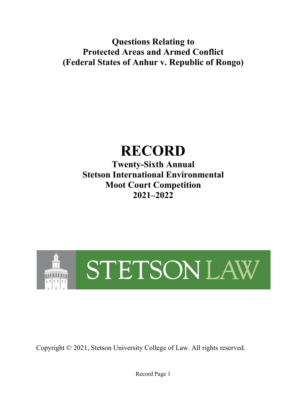**Questions Relating to Protected Areas and Armed Conflict (Federal States of Anhur v. Republic of Rongo)**

# **RECORD**

**Twenty-Sixth Annual Stetson International Environmental Moot Court Competition 2021–2022**



Copyright © 2021, Stetson University College of Law. All rights reserved.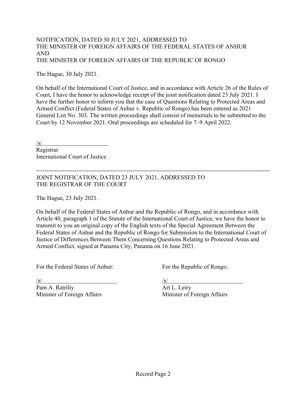#### NOTIFICATION, DATED 30 JULY 2021, ADDRESSED TO THE MINISTER OF FOREIGN AFFAIRS OF THE FEDERAL STATES OF ANHUR AND THE MINISTER OF FOREIGN AFFAIRS OF THE REPUBLIC OF RONGO

The Hague, 30 July 2021.

On behalf of the International Court of Justice, and in accordance with Article 26 of the Rules of Court, I have the honor to acknowledge receipt of the joint notification dated 23 July 2021. I have the further honor to inform you that the case of Questions Relating to Protected Areas and Armed Conflict (Federal States of Anhur v. Republic of Rongo) has been entered as 2021 General List No. 303. The written proceedings shall consist of memorials to be submitted to the Court by 12 November 2021. Oral proceedings are scheduled for 7–9 April 2022.

/s/ Registrar International Court of Justice

--------------------------------------------------------------------------------------------------------------------- JOINT NOTIFICATION, DATED 23 JULY 2021, ADDRESSED TO THE REGISTRAR OF THE COURT

The Hague, 23 July 2021.

On behalf of the Federal States of Anhur and the Republic of Rongo, and in accordance with Article 40, paragraph 1 of the Statute of the International Court of Justice, we have the honor to transmit to you an original copy of the English texts of the Special Agreement Between the Federal States of Anhur and the Republic of Rongo for Submission to the International Court of Justice of Differences Between Them Concerning Questions Relating to Protected Areas and Armed Conflict, signed at Panama City, Panama on 16 June 2021.

For the Federal States of Anhur: For the Republic of Rongo:

 $\frac{1}{s}$ /s/

Pam A. Ratriliy and a set of the Art L. Leiry Minister of Foreign Affairs Minister of Foreign Affairs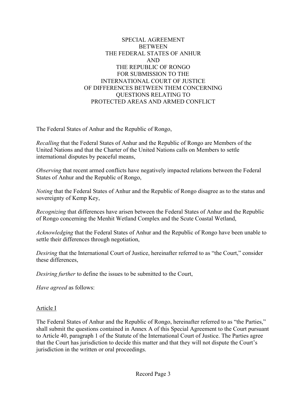### SPECIAL AGREEMENT **BETWEEN** THE FEDERAL STATES OF ANHUR AND THE REPUBLIC OF RONGO FOR SUBMISSION TO THE INTERNATIONAL COURT OF JUSTICE OF DIFFERENCES BETWEEN THEM CONCERNING QUESTIONS RELATING TO PROTECTED AREAS AND ARMED CONFLICT

The Federal States of Anhur and the Republic of Rongo,

*Recalling* that the Federal States of Anhur and the Republic of Rongo are Members of the United Nations and that the Charter of the United Nations calls on Members to settle international disputes by peaceful means,

*Observing* that recent armed conflicts have negatively impacted relations between the Federal States of Anhur and the Republic of Rongo,

*Noting* that the Federal States of Anhur and the Republic of Rongo disagree as to the status and sovereignty of Kemp Key,

*Recognizing* that differences have arisen between the Federal States of Anhur and the Republic of Rongo concerning the Menhit Wetland Complex and the Scute Coastal Wetland,

*Acknowledging* that the Federal States of Anhur and the Republic of Rongo have been unable to settle their differences through negotiation,

*Desiring* that the International Court of Justice, hereinafter referred to as "the Court," consider these differences,

*Desiring further* to define the issues to be submitted to the Court,

*Have agreed* as follows:

#### Article I

The Federal States of Anhur and the Republic of Rongo, hereinafter referred to as "the Parties," shall submit the questions contained in Annex A of this Special Agreement to the Court pursuant to Article 40, paragraph 1 of the Statute of the International Court of Justice. The Parties agree that the Court has jurisdiction to decide this matter and that they will not dispute the Court's jurisdiction in the written or oral proceedings.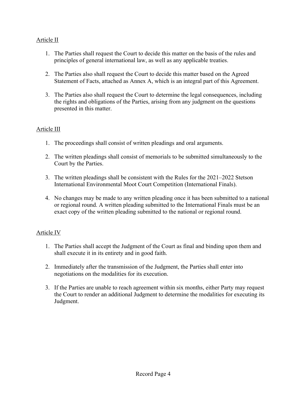## Article II

- 1. The Parties shall request the Court to decide this matter on the basis of the rules and principles of general international law, as well as any applicable treaties.
- 2. The Parties also shall request the Court to decide this matter based on the Agreed Statement of Facts, attached as Annex A, which is an integral part of this Agreement.
- 3. The Parties also shall request the Court to determine the legal consequences, including the rights and obligations of the Parties, arising from any judgment on the questions presented in this matter.

#### Article III

- 1. The proceedings shall consist of written pleadings and oral arguments.
- 2. The written pleadings shall consist of memorials to be submitted simultaneously to the Court by the Parties.
- 3. The written pleadings shall be consistent with the Rules for the 2021–2022 Stetson International Environmental Moot Court Competition (International Finals).
- 4. No changes may be made to any written pleading once it has been submitted to a national or regional round. A written pleading submitted to the International Finals must be an exact copy of the written pleading submitted to the national or regional round.

#### Article IV

- 1. The Parties shall accept the Judgment of the Court as final and binding upon them and shall execute it in its entirety and in good faith.
- 2. Immediately after the transmission of the Judgment, the Parties shall enter into negotiations on the modalities for its execution.
- 3. If the Parties are unable to reach agreement within six months, either Party may request the Court to render an additional Judgment to determine the modalities for executing its Judgment.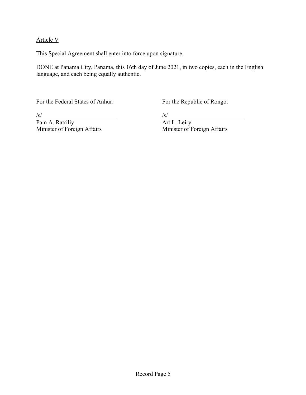#### Article V

This Special Agreement shall enter into force upon signature.

DONE at Panama City, Panama, this 16th day of June 2021, in two copies, each in the English language, and each being equally authentic.

For the Federal States of Anhur: For the Republic of Rongo:

 $\frac{\sqrt{s}}{\sqrt{S}}$  am A. Ratriliy  $\frac{\sqrt{s}}{\sqrt{S}}$  Art L. Leiry Pam A. Ratriliy<br>Minister of Foreign Affairs

Minister of Foreign Affairs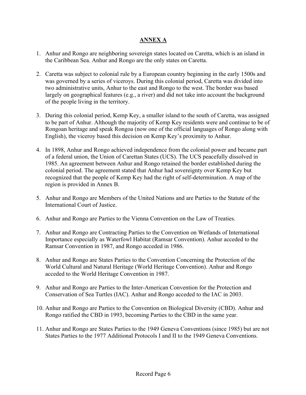### **ANNEX A**

- 1. Anhur and Rongo are neighboring sovereign states located on Caretta, which is an island in the Caribbean Sea. Anhur and Rongo are the only states on Caretta.
- 2. Caretta was subject to colonial rule by a European country beginning in the early 1500s and was governed by a series of viceroys. During this colonial period, Caretta was divided into two administrative units, Anhur to the east and Rongo to the west. The border was based largely on geographical features (e.g., a river) and did not take into account the background of the people living in the territory.
- 3. During this colonial period, Kemp Key, a smaller island to the south of Caretta, was assigned to be part of Anhur. Although the majority of Kemp Key residents were and continue to be of Rongoan heritage and speak Rongoa (now one of the official languages of Rongo along with English), the viceroy based this decision on Kemp Key's proximity to Anhur.
- 4. In 1898, Anhur and Rongo achieved independence from the colonial power and became part of a federal union, the Union of Carettan States (UCS). The UCS peacefully dissolved in 1985. An agreement between Anhur and Rongo retained the border established during the colonial period. The agreement stated that Anhur had sovereignty over Kemp Key but recognized that the people of Kemp Key had the right of self-determination. A map of the region is provided in Annex B.
- 5. Anhur and Rongo are Members of the United Nations and are Parties to the Statute of the International Court of Justice.
- 6. Anhur and Rongo are Parties to the Vienna Convention on the Law of Treaties.
- 7. Anhur and Rongo are Contracting Parties to the Convention on Wetlands of International Importance especially as Waterfowl Habitat (Ramsar Convention). Anhur acceded to the Ramsar Convention in 1987, and Rongo acceded in 1986.
- 8. Anhur and Rongo are States Parties to the Convention Concerning the Protection of the World Cultural and Natural Heritage (World Heritage Convention). Anhur and Rongo acceded to the World Heritage Convention in 1987.
- 9. Anhur and Rongo are Parties to the Inter-American Convention for the Protection and Conservation of Sea Turtles (IAC). Anhur and Rongo acceded to the IAC in 2003.
- 10. Anhur and Rongo are Parties to the Convention on Biological Diversity (CBD). Anhur and Rongo ratified the CBD in 1993, becoming Parties to the CBD in the same year.
- 11. Anhur and Rongo are States Parties to the 1949 Geneva Conventions (since 1985) but are not States Parties to the 1977 Additional Protocols I and II to the 1949 Geneva Conventions.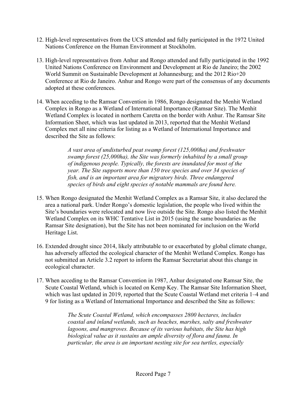- 12. High-level representatives from the UCS attended and fully participated in the 1972 United Nations Conference on the Human Environment at Stockholm.
- 13. High-level representatives from Anhur and Rongo attended and fully participated in the 1992 United Nations Conference on Environment and Development at Rio de Janeiro; the 2002 World Summit on Sustainable Development at Johannesburg; and the 2012 Rio+20 Conference at Rio de Janeiro. Anhur and Rongo were part of the consensus of any documents adopted at these conferences.
- 14. When acceding to the Ramsar Convention in 1986, Rongo designated the Menhit Wetland Complex in Rongo as a Wetland of International Importance (Ramsar Site). The Menhit Wetland Complex is located in northern Caretta on the border with Anhur. The Ramsar Site Information Sheet, which was last updated in 2013, reported that the Menhit Wetland Complex met all nine criteria for listing as a Wetland of International Importance and described the Site as follows:

*A vast area of undisturbed peat swamp forest (125,000ha) and freshwater swamp forest (25,000ha), the Site was formerly inhabited by a small group of indigenous people. Typically, the forests are inundated for most of the year. The Site supports more than 150 tree species and over 34 species of fish, and is an important area for migratory birds. Three endangered species of birds and eight species of notable mammals are found here.*

- 15. When Rongo designated the Menhit Wetland Complex as a Ramsar Site, it also declared the area a national park. Under Rongo's domestic legislation, the people who lived within the Site's boundaries were relocated and now live outside the Site. Rongo also listed the Menhit Wetland Complex on its WHC Tentative List in 2015 (using the same boundaries as the Ramsar Site designation), but the Site has not been nominated for inclusion on the World Heritage List.
- 16. Extended drought since 2014, likely attributable to or exacerbated by global climate change, has adversely affected the ecological character of the Menhit Wetland Complex. Rongo has not submitted an Article 3.2 report to inform the Ramsar Secretariat about this change in ecological character.
- 17. When acceding to the Ramsar Convention in 1987, Anhur designated one Ramsar Site, the Scute Coastal Wetland, which is located on Kemp Key. The Ramsar Site Information Sheet, which was last updated in 2019, reported that the Scute Coastal Wetland met criteria 1–4 and 9 for listing as a Wetland of International Importance and described the Site as follows:

*The Scute Coastal Wetland, which encompasses 2800 hectares, includes coastal and inland wetlands, such as beaches, marshes, salty and freshwater lagoons, and mangroves. Because of its various habitats, the Site has high biological value as it sustains an ample diversity of flora and fauna. In particular, the area is an important nesting site for sea turtles, especially*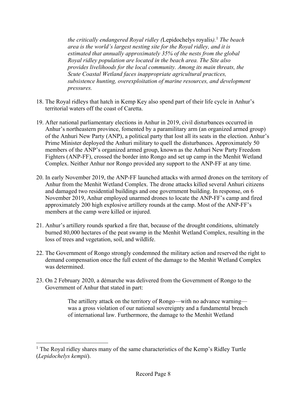*the critically endangered Royal ridley (*Lepidochelys royalis*).* <sup>1</sup> *The beach area is the world's largest nesting site for the Royal ridley, and it is estimated that annually approximately 35% of the nests from the global Royal ridley population are located in the beach area. The Site also provides livelihoods for the local community. Among its main threats, the Scute Coastal Wetland faces inappropriate agricultural practices, subsistence hunting, overexploitation of marine resources, and development pressures.* 

- 18. The Royal ridleys that hatch in Kemp Key also spend part of their life cycle in Anhur's territorial waters off the coast of Caretta.
- 19. After national parliamentary elections in Anhur in 2019, civil disturbances occurred in Anhur's northeastern province, fomented by a paramilitary arm (an organized armed group) of the Anhuri New Party (ANP), a political party that lost all its seats in the election. Anhur's Prime Minister deployed the Anhuri military to quell the disturbances. Approximately 50 members of the ANP's organized armed group, known as the Anhuri New Party Freedom Fighters (ANP-FF), crossed the border into Rongo and set up camp in the Menhit Wetland Complex. Neither Anhur nor Rongo provided any support to the ANP-FF at any time.
- 20. In early November 2019, the ANP-FF launched attacks with armed drones on the territory of Anhur from the Menhit Wetland Complex. The drone attacks killed several Anhuri citizens and damaged two residential buildings and one government building. In response, on 6 November 2019, Anhur employed unarmed drones to locate the ANP-FF's camp and fired approximately 200 high explosive artillery rounds at the camp. Most of the ANP-FF's members at the camp were killed or injured.
- 21. Anhur's artillery rounds sparked a fire that, because of the drought conditions, ultimately burned 80,000 hectares of the peat swamp in the Menhit Wetland Complex, resulting in the loss of trees and vegetation, soil, and wildlife.
- 22. The Government of Rongo strongly condemned the military action and reserved the right to demand compensation once the full extent of the damage to the Menhit Wetland Complex was determined.
- 23. On 2 February 2020, a démarche was delivered from the Government of Rongo to the Government of Anhur that stated in part:

The artillery attack on the territory of Rongo—with no advance warning was a gross violation of our national sovereignty and a fundamental breach of international law. Furthermore, the damage to the Menhit Wetland

<sup>&</sup>lt;sup>1</sup> The Royal ridley shares many of the same characteristics of the Kemp's Ridley Turtle (*Lepidochelys kempii*).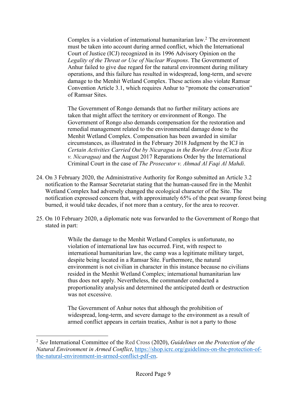Complex is a violation of international humanitarian law. <sup>2</sup> The environment must be taken into account during armed conflict, which the International Court of Justice (ICJ) recognized in its 1996 Advisory Opinion on the *Legality of the Threat or Use of Nuclear Weapons*. The Government of Anhur failed to give due regard for the natural environment during military operations, and this failure has resulted in widespread, long-term, and severe damage to the Menhit Wetland Complex. These actions also violate Ramsar Convention Article 3.1, which requires Anhur to "promote the conservation" of Ramsar Sites.

The Government of Rongo demands that no further military actions are taken that might affect the territory or environment of Rongo. The Government of Rongo also demands compensation for the restoration and remedial management related to the environmental damage done to the Menhit Wetland Complex. Compensation has been awarded in similar circumstances, as illustrated in the February 2018 Judgment by the ICJ in *Certain Activities Carried Out by Nicaragua in the Border Area (Costa Rica v. Nicaragua)* and the August 2017 Reparations Order by the International Criminal Court in the case of *The Prosecutor v. Ahmad Al Faqi Al Mahdi*.

- 24. On 3 February 2020, the Administrative Authority for Rongo submitted an Article 3.2 notification to the Ramsar Secretariat stating that the human-caused fire in the Menhit Wetland Complex had adversely changed the ecological character of the Site. The notification expressed concern that, with approximately 65% of the peat swamp forest being burned, it would take decades, if not more than a century, for the area to recover.
- 25. On 10 February 2020, a diplomatic note was forwarded to the Government of Rongo that stated in part:

While the damage to the Menhit Wetland Complex is unfortunate, no violation of international law has occurred. First, with respect to international humanitarian law, the camp was a legitimate military target, despite being located in a Ramsar Site. Furthermore, the natural environment is not civilian in character in this instance because no civilians resided in the Menhit Wetland Complex; international humanitarian law thus does not apply. Nevertheless, the commander conducted a proportionality analysis and determined the anticipated death or destruction was not excessive.

The Government of Anhur notes that although the prohibition of widespread, long-term, and severe damage to the environment as a result of armed conflict appears in certain treaties, Anhur is not a party to those

<sup>2</sup> *See* International Committee of the Red Cross (2020), *Guidelines on the Protection of the Natural Environment in Armed Conflict*, https://shop.icrc.org/guidelines-on-the-protection-ofthe-natural-environment-in-armed-conflict-pdf-en.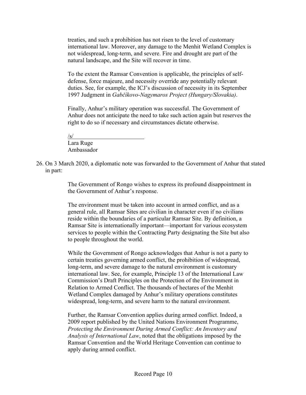treaties, and such a prohibition has not risen to the level of customary international law. Moreover, any damage to the Menhit Wetland Complex is not widespread, long-term, and severe. Fire and drought are part of the natural landscape, and the Site will recover in time.

To the extent the Ramsar Convention is applicable, the principles of selfdefense, force majeure, and necessity override any potentially relevant duties. See, for example, the ICJ's discussion of necessity in its September 1997 Judgment in *Gabčíkovo-Nagymaros Project (Hungary/Slovakia)*.

Finally, Anhur's military operation was successful. The Government of Anhur does not anticipate the need to take such action again but reserves the right to do so if necessary and circumstances dictate otherwise.

 $\sqrt{s}$ Lara Ruge

Ambassador

26. On 3 March 2020, a diplomatic note was forwarded to the Government of Anhur that stated in part:

> The Government of Rongo wishes to express its profound disappointment in the Government of Anhur's response.

The environment must be taken into account in armed conflict, and as a general rule, all Ramsar Sites are civilian in character even if no civilians reside within the boundaries of a particular Ramsar Site. By definition, a Ramsar Site is internationally important—important for various ecosystem services to people within the Contracting Party designating the Site but also to people throughout the world.

While the Government of Rongo acknowledges that Anhur is not a party to certain treaties governing armed conflict, the prohibition of widespread, long-term, and severe damage to the natural environment is customary international law. See, for example, Principle 13 of the International Law Commission's Draft Principles on the Protection of the Environment in Relation to Armed Conflict. The thousands of hectares of the Menhit Wetland Complex damaged by Anhur's military operations constitutes widespread, long-term, and severe harm to the natural environment.

Further, the Ramsar Convention applies during armed conflict. Indeed, a 2009 report published by the United Nations Environment Programme, *Protecting the Environment During Armed Conflict: An Inventory and Analysis of International Law*, noted that the obligations imposed by the Ramsar Convention and the World Heritage Convention can continue to apply during armed conflict.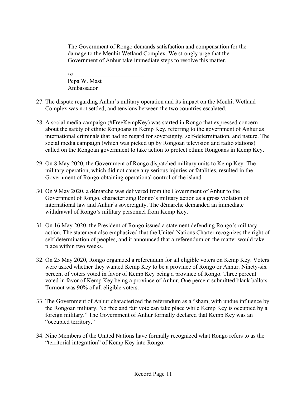The Government of Rongo demands satisfaction and compensation for the damage to the Menhit Wetland Complex. We strongly urge that the Government of Anhur take immediate steps to resolve this matter.

/s/ Pepa W. Mast Ambassador

- 27. The dispute regarding Anhur's military operation and its impact on the Menhit Wetland Complex was not settled, and tensions between the two countries escalated.
- 28. A social media campaign (#FreeKempKey) was started in Rongo that expressed concern about the safety of ethnic Rongoans in Kemp Key, referring to the government of Anhur as international criminals that had no regard for sovereignty, self-determination, and nature. The social media campaign (which was picked up by Rongoan television and radio stations) called on the Rongoan government to take action to protect ethnic Rongoans in Kemp Key.
- 29. On 8 May 2020, the Government of Rongo dispatched military units to Kemp Key. The military operation, which did not cause any serious injuries or fatalities, resulted in the Government of Rongo obtaining operational control of the island.
- 30. On 9 May 2020, a démarche was delivered from the Government of Anhur to the Government of Rongo, characterizing Rongo's military action as a gross violation of international law and Anhur's sovereignty. The démarche demanded an immediate withdrawal of Rongo's military personnel from Kemp Key.
- 31. On 16 May 2020, the President of Rongo issued a statement defending Rongo's military action. The statement also emphasized that the United Nations Charter recognizes the right of self-determination of peoples, and it announced that a referendum on the matter would take place within two weeks.
- 32. On 25 May 2020, Rongo organized a referendum for all eligible voters on Kemp Key. Voters were asked whether they wanted Kemp Key to be a province of Rongo or Anhur. Ninety-six percent of voters voted in favor of Kemp Key being a province of Rongo. Three percent voted in favor of Kemp Key being a province of Anhur. One percent submitted blank ballots. Turnout was 90% of all eligible voters.
- 33. The Government of Anhur characterized the referendum as a "sham, with undue influence by the Rongoan military. No free and fair vote can take place while Kemp Key is occupied by a foreign military." The Government of Anhur formally declared that Kemp Key was an "occupied territory."
- 34. Nine Members of the United Nations have formally recognized what Rongo refers to as the "territorial integration" of Kemp Key into Rongo.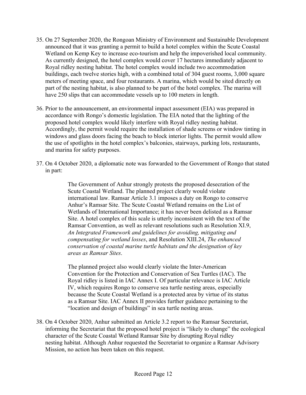- 35. On 27 September 2020, the Rongoan Ministry of Environment and Sustainable Development announced that it was granting a permit to build a hotel complex within the Scute Coastal Wetland on Kemp Key to increase eco-tourism and help the impoverished local community. As currently designed, the hotel complex would cover 17 hectares immediately adjacent to Royal ridley nesting habitat. The hotel complex would include two accommodation buildings, each twelve stories high, with a combined total of 304 guest rooms, 3,000 square meters of meeting space, and four restaurants. A marina, which would be sited directly on part of the nesting habitat, is also planned to be part of the hotel complex. The marina will have 250 slips that can accommodate vessels up to 100 meters in length.
- 36. Prior to the announcement, an environmental impact assessment (EIA) was prepared in accordance with Rongo's domestic legislation. The EIA noted that the lighting of the proposed hotel complex would likely interfere with Royal ridley nesting habitat. Accordingly, the permit would require the installation of shade screens or window tinting in windows and glass doors facing the beach to block interior lights. The permit would allow the use of spotlights in the hotel complex's balconies, stairways, parking lots, restaurants, and marina for safety purposes.
- 37. On 4 October 2020, a diplomatic note was forwarded to the Government of Rongo that stated in part:

The Government of Anhur strongly protests the proposed desecration of the Scute Coastal Wetland. The planned project clearly would violate international law. Ramsar Article 3.1 imposes a duty on Rongo to conserve Anhur's Ramsar Site. The Scute Coastal Wetland remains on the List of Wetlands of International Importance; it has never been delisted as a Ramsar Site. A hotel complex of this scale is utterly inconsistent with the text of the Ramsar Convention, as well as relevant resolutions such as Resolution XI.9, *An Integrated Framework and guidelines for avoiding, mitigating and compensating for wetland losses*, and Resolution XIII.24, *The enhanced conservation of coastal marine turtle habitats and the designation of key areas as Ramsar Sites*.

The planned project also would clearly violate the Inter-American Convention for the Protection and Conservation of Sea Turtles (IAC). The Royal ridley is listed in IAC Annex I. Of particular relevance is IAC Article IV, which requires Rongo to conserve sea turtle nesting areas, especially because the Scute Coastal Wetland is a protected area by virtue of its status as a Ramsar Site. IAC Annex II provides further guidance pertaining to the "location and design of buildings" in sea turtle nesting areas.

38. On 4 October 2020, Anhur submitted an Article 3.2 report to the Ramsar Secretariat, informing the Secretariat that the proposed hotel project is "likely to change" the ecological character of the Scute Coastal Wetland Ramsar Site by disrupting Royal ridley nesting habitat. Although Anhur requested the Secretariat to organize a Ramsar Advisory Mission, no action has been taken on this request.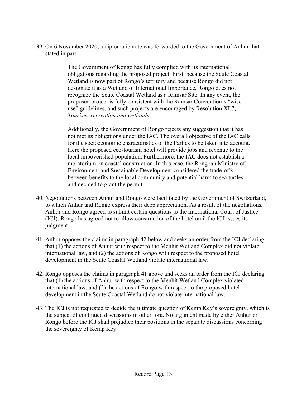39. On 6 November 2020, a diplomatic note was forwarded to the Government of Anhur that stated in part:

> The Government of Rongo has fully complied with its international obligations regarding the proposed project. First, because the Scute Coastal Wetland is now part of Rongo's territory and because Rongo did not designate it as a Wetland of International Importance, Rongo does not recognize the Scute Coastal Wetland as a Ramsar Site. In any event, the proposed project is fully consistent with the Ramsar Convention's "wise use" guidelines, and such projects are encouraged by Resolution XI.7, *Tourism, recreation and wetlands*.

Additionally, the Government of Rongo rejects any suggestion that it has not met its obligations under the IAC. The overall objective of the IAC calls for the socioeconomic characteristics of the Parties to be taken into account. Here the proposed eco-tourism hotel will provide jobs and revenue to the local impoverished population. Furthermore, the IAC does not establish a moratorium on coastal construction. In this case, the Rongoan Ministry of Environment and Sustainable Development considered the trade-offs between benefits to the local community and potential harm to sea turtles and decided to grant the permit.

- 40. Negotiations between Anhur and Rongo were facilitated by the Government of Switzerland, to which Anhur and Rongo express their deep appreciation. As a result of the negotiations, Anhur and Rongo agreed to submit certain questions to the International Court of Justice (ICJ). Rongo has agreed not to allow construction of the hotel until the ICJ issues its judgment.
- 41. Anhur opposes the claims in paragraph 42 below and seeks an order from the ICJ declaring that (1) the actions of Anhur with respect to the Menhit Wetland Complex did not violate international law, and (2) the actions of Rongo with respect to the proposed hotel development in the Scute Coastal Wetland violate international law.
- 42. Rongo opposes the claims in paragraph 41 above and seeks an order from the ICJ declaring that (1) the actions of Anhur with respect to the Menhit Wetland Complex violated international law, and (2) the actions of Rongo with respect to the proposed hotel development in the Scute Coastal Wetland do not violate international law.
- 43. The ICJ is not requested to decide the ultimate question of Kemp Key's sovereignty, which is the subject of continued discussions in other fora. No argument made by either Anhur or Rongo before the ICJ shall prejudice their positions in the separate discussions concerning the sovereignty of Kemp Key.